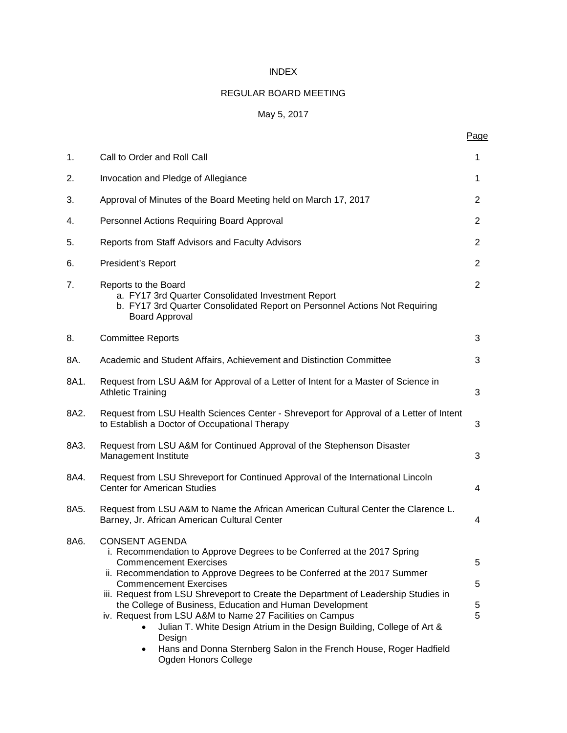# INDEX

# REGULAR BOARD MEETING

# May 5, 2017

Page

| 1.   | Call to Order and Roll Call                                                                                                                                                                                                                                                                                                                                                                                                                                                                                                                      | 1                               |
|------|--------------------------------------------------------------------------------------------------------------------------------------------------------------------------------------------------------------------------------------------------------------------------------------------------------------------------------------------------------------------------------------------------------------------------------------------------------------------------------------------------------------------------------------------------|---------------------------------|
| 2.   | Invocation and Pledge of Allegiance                                                                                                                                                                                                                                                                                                                                                                                                                                                                                                              | 1                               |
| 3.   | Approval of Minutes of the Board Meeting held on March 17, 2017                                                                                                                                                                                                                                                                                                                                                                                                                                                                                  | 2                               |
| 4.   | Personnel Actions Requiring Board Approval                                                                                                                                                                                                                                                                                                                                                                                                                                                                                                       | $\overline{2}$                  |
| 5.   | Reports from Staff Advisors and Faculty Advisors                                                                                                                                                                                                                                                                                                                                                                                                                                                                                                 | 2                               |
| 6.   | President's Report                                                                                                                                                                                                                                                                                                                                                                                                                                                                                                                               | 2                               |
| 7.   | Reports to the Board<br>a. FY17 3rd Quarter Consolidated Investment Report<br>b. FY17 3rd Quarter Consolidated Report on Personnel Actions Not Requiring<br><b>Board Approval</b>                                                                                                                                                                                                                                                                                                                                                                | $\overline{2}$                  |
| 8.   | <b>Committee Reports</b>                                                                                                                                                                                                                                                                                                                                                                                                                                                                                                                         | 3                               |
| 8A.  | Academic and Student Affairs, Achievement and Distinction Committee                                                                                                                                                                                                                                                                                                                                                                                                                                                                              | 3                               |
| 8A1. | Request from LSU A&M for Approval of a Letter of Intent for a Master of Science in<br><b>Athletic Training</b>                                                                                                                                                                                                                                                                                                                                                                                                                                   | 3                               |
| 8A2. | Request from LSU Health Sciences Center - Shreveport for Approval of a Letter of Intent<br>to Establish a Doctor of Occupational Therapy                                                                                                                                                                                                                                                                                                                                                                                                         | 3                               |
| 8A3. | Request from LSU A&M for Continued Approval of the Stephenson Disaster<br>Management Institute                                                                                                                                                                                                                                                                                                                                                                                                                                                   | 3                               |
| 8A4. | Request from LSU Shreveport for Continued Approval of the International Lincoln<br><b>Center for American Studies</b>                                                                                                                                                                                                                                                                                                                                                                                                                            | 4                               |
| 8A5. | Request from LSU A&M to Name the African American Cultural Center the Clarence L.<br>Barney, Jr. African American Cultural Center                                                                                                                                                                                                                                                                                                                                                                                                                | 4                               |
| 8A6. | <b>CONSENT AGENDA</b><br>i. Recommendation to Approve Degrees to be Conferred at the 2017 Spring<br><b>Commencement Exercises</b><br>ii. Recommendation to Approve Degrees to be Conferred at the 2017 Summer<br><b>Commencement Exercises</b><br>iii. Request from LSU Shreveport to Create the Department of Leadership Studies in<br>the College of Business, Education and Human Development<br>iv. Request from LSU A&M to Name 27 Facilities on Campus<br>Julian T. White Design Atrium in the Design Building, College of Art &<br>Design | $\circ$<br>5<br>$\sqrt{5}$<br>5 |

• Hans and Donna Sternberg Salon in the French House, Roger Hadfield Ogden Honors College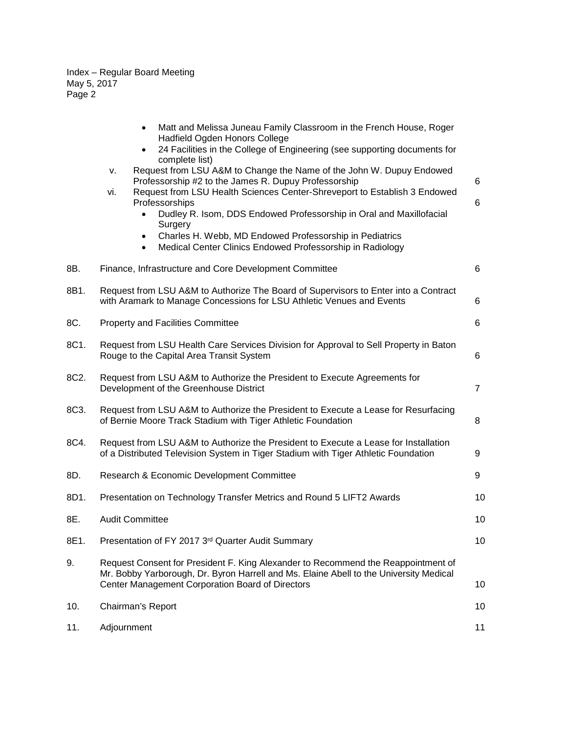|      | Matt and Melissa Juneau Family Classroom in the French House, Roger<br>$\bullet$<br>Hadfield Ogden Honors College<br>24 Facilities in the College of Engineering (see supporting documents for<br>$\bullet$<br>complete list)<br>Request from LSU A&M to Change the Name of the John W. Dupuy Endowed<br>v.<br>Professorship #2 to the James R. Dupuy Professorship<br>Request from LSU Health Sciences Center-Shreveport to Establish 3 Endowed<br>vi.<br>Professorships<br>Dudley R. Isom, DDS Endowed Professorship in Oral and Maxillofacial<br>Surgery<br>Charles H. Webb, MD Endowed Professorship in Pediatrics<br>٠<br>Medical Center Clinics Endowed Professorship in Radiology<br>$\bullet$ | 6<br>6         |
|------|-------------------------------------------------------------------------------------------------------------------------------------------------------------------------------------------------------------------------------------------------------------------------------------------------------------------------------------------------------------------------------------------------------------------------------------------------------------------------------------------------------------------------------------------------------------------------------------------------------------------------------------------------------------------------------------------------------|----------------|
| 8B.  | Finance, Infrastructure and Core Development Committee                                                                                                                                                                                                                                                                                                                                                                                                                                                                                                                                                                                                                                                | 6              |
| 8B1. | Request from LSU A&M to Authorize The Board of Supervisors to Enter into a Contract<br>with Aramark to Manage Concessions for LSU Athletic Venues and Events                                                                                                                                                                                                                                                                                                                                                                                                                                                                                                                                          | 6              |
| 8C.  | <b>Property and Facilities Committee</b>                                                                                                                                                                                                                                                                                                                                                                                                                                                                                                                                                                                                                                                              | 6              |
| 8C1. | Request from LSU Health Care Services Division for Approval to Sell Property in Baton<br>Rouge to the Capital Area Transit System                                                                                                                                                                                                                                                                                                                                                                                                                                                                                                                                                                     | 6              |
| 8C2. | Request from LSU A&M to Authorize the President to Execute Agreements for<br>Development of the Greenhouse District                                                                                                                                                                                                                                                                                                                                                                                                                                                                                                                                                                                   | $\overline{7}$ |
| 8C3. | Request from LSU A&M to Authorize the President to Execute a Lease for Resurfacing<br>of Bernie Moore Track Stadium with Tiger Athletic Foundation                                                                                                                                                                                                                                                                                                                                                                                                                                                                                                                                                    | 8              |
| 8C4. | Request from LSU A&M to Authorize the President to Execute a Lease for Installation<br>of a Distributed Television System in Tiger Stadium with Tiger Athletic Foundation                                                                                                                                                                                                                                                                                                                                                                                                                                                                                                                             | 9              |
| 8D.  | Research & Economic Development Committee                                                                                                                                                                                                                                                                                                                                                                                                                                                                                                                                                                                                                                                             | 9              |
| 8D1. | Presentation on Technology Transfer Metrics and Round 5 LIFT2 Awards                                                                                                                                                                                                                                                                                                                                                                                                                                                                                                                                                                                                                                  | 10             |
| 8E.  | <b>Audit Committee</b>                                                                                                                                                                                                                                                                                                                                                                                                                                                                                                                                                                                                                                                                                | 10             |
| 8E1. | Presentation of FY 2017 3rd Quarter Audit Summary                                                                                                                                                                                                                                                                                                                                                                                                                                                                                                                                                                                                                                                     | 10             |
| 9.   | Request Consent for President F. King Alexander to Recommend the Reappointment of<br>Mr. Bobby Yarborough, Dr. Byron Harrell and Ms. Elaine Abell to the University Medical<br>Center Management Corporation Board of Directors                                                                                                                                                                                                                                                                                                                                                                                                                                                                       | 10             |
| 10.  | Chairman's Report                                                                                                                                                                                                                                                                                                                                                                                                                                                                                                                                                                                                                                                                                     | 10             |
| 11.  | Adjournment                                                                                                                                                                                                                                                                                                                                                                                                                                                                                                                                                                                                                                                                                           | 11             |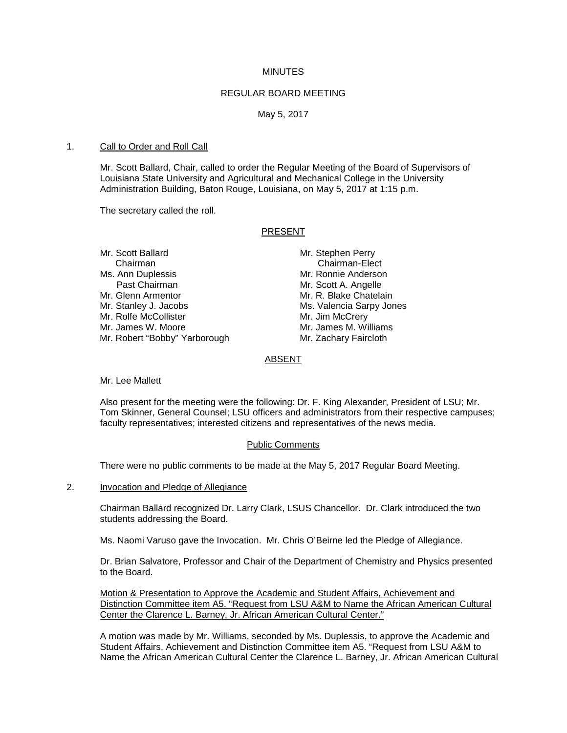#### **MINUTES**

#### REGULAR BOARD MEETING

May 5, 2017

### 1. Call to Order and Roll Call

Mr. Scott Ballard, Chair, called to order the Regular Meeting of the Board of Supervisors of Louisiana State University and Agricultural and Mechanical College in the University Administration Building, Baton Rouge, Louisiana, on May 5, 2017 at 1:15 p.m.

The secretary called the roll.

### PRESENT

Mr. Scott Ballard Mr. Stephen Perry Chairman Chairman<br>
Chairman-Elect Chairman-Elect<br>
Mr. Ronnie Anderson Ms. Ann Duplessis<br>Past Chairman Past Chairman Mr. Scott A. Angelle<br>Mr. Glenn Armentor Mr. R. Blake Chatela Mr. Stanley J. Jacobs<br>
Mr. Rolfe McCollister
Mr. Jim McCrery Mr. Rolfe McCollister<br>Mr. James W. Moore Mr. Robert "Bobby" Yarborough Mr. Zachary Faircloth

Mr. R. Blake Chatelain Mr. James M. Williams

# ABSENT

Mr. Lee Mallett

Also present for the meeting were the following: Dr. F. King Alexander, President of LSU; Mr. Tom Skinner, General Counsel; LSU officers and administrators from their respective campuses; faculty representatives; interested citizens and representatives of the news media.

# Public Comments

There were no public comments to be made at the May 5, 2017 Regular Board Meeting.

2. Invocation and Pledge of Allegiance

Chairman Ballard recognized Dr. Larry Clark, LSUS Chancellor. Dr. Clark introduced the two students addressing the Board.

Ms. Naomi Varuso gave the Invocation. Mr. Chris O'Beirne led the Pledge of Allegiance.

Dr. Brian Salvatore, Professor and Chair of the Department of Chemistry and Physics presented to the Board.

Motion & Presentation to Approve the Academic and Student Affairs, Achievement and Distinction Committee item A5. "Request from LSU A&M to Name the African American Cultural Center the Clarence L. Barney, Jr. African American Cultural Center."

A motion was made by Mr. Williams, seconded by Ms. Duplessis, to approve the Academic and Student Affairs, Achievement and Distinction Committee item A5. "Request from LSU A&M to Name the African American Cultural Center the Clarence L. Barney, Jr. African American Cultural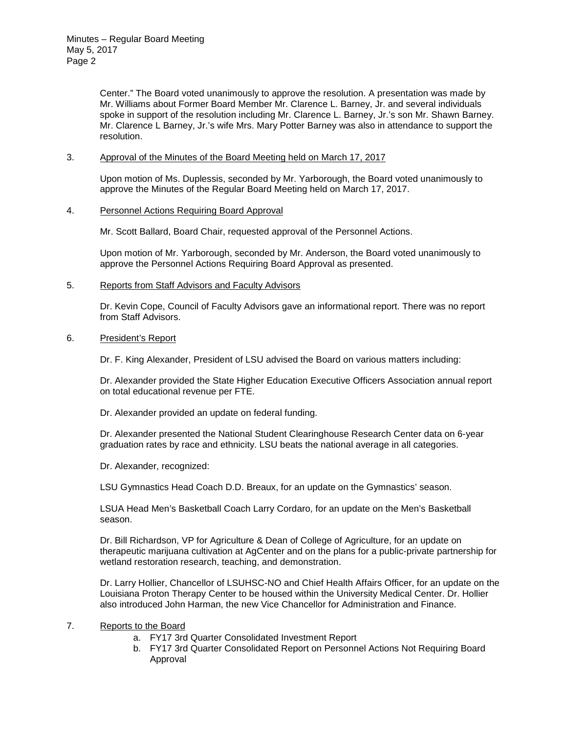Center." The Board voted unanimously to approve the resolution. A presentation was made by Mr. Williams about Former Board Member Mr. Clarence L. Barney, Jr. and several individuals spoke in support of the resolution including Mr. Clarence L. Barney, Jr.'s son Mr. Shawn Barney. Mr. Clarence L Barney, Jr.'s wife Mrs. Mary Potter Barney was also in attendance to support the resolution.

## 3. Approval of the Minutes of the Board Meeting held on March 17, 2017

Upon motion of Ms. Duplessis, seconded by Mr. Yarborough, the Board voted unanimously to approve the Minutes of the Regular Board Meeting held on March 17, 2017.

### 4. Personnel Actions Requiring Board Approval

Mr. Scott Ballard, Board Chair, requested approval of the Personnel Actions.

Upon motion of Mr. Yarborough, seconded by Mr. Anderson, the Board voted unanimously to approve the Personnel Actions Requiring Board Approval as presented.

# 5. Reports from Staff Advisors and Faculty Advisors

Dr. Kevin Cope, Council of Faculty Advisors gave an informational report. There was no report from Staff Advisors.

### 6. President's Report

Dr. F. King Alexander, President of LSU advised the Board on various matters including:

Dr. Alexander provided the State Higher Education Executive Officers Association annual report on total educational revenue per FTE.

Dr. Alexander provided an update on federal funding.

Dr. Alexander presented the National Student Clearinghouse Research Center data on 6-year graduation rates by race and ethnicity. LSU beats the national average in all categories.

Dr. Alexander, recognized:

LSU Gymnastics Head Coach D.D. Breaux, for an update on the Gymnastics' season.

LSUA Head Men's Basketball Coach Larry Cordaro, for an update on the Men's Basketball season.

Dr. Bill Richardson, VP for Agriculture & Dean of College of Agriculture, for an update on therapeutic marijuana cultivation at AgCenter and on the plans for a public-private partnership for wetland restoration research, teaching, and demonstration.

Dr. Larry Hollier, Chancellor of LSUHSC-NO and Chief Health Affairs Officer, for an update on the Louisiana Proton Therapy Center to be housed within the University Medical Center. Dr. Hollier also introduced John Harman, the new Vice Chancellor for Administration and Finance.

# 7. Reports to the Board

- a. FY17 3rd Quarter Consolidated Investment Report
- b. FY17 3rd Quarter Consolidated Report on Personnel Actions Not Requiring Board Approval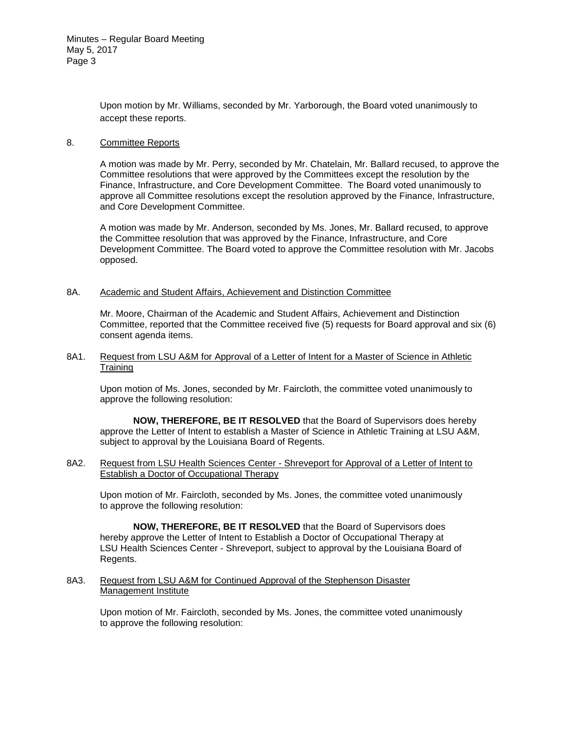Upon motion by Mr. Williams, seconded by Mr. Yarborough, the Board voted unanimously to accept these reports.

## 8. Committee Reports

A motion was made by Mr. Perry, seconded by Mr. Chatelain, Mr. Ballard recused, to approve the Committee resolutions that were approved by the Committees except the resolution by the Finance, Infrastructure, and Core Development Committee. The Board voted unanimously to approve all Committee resolutions except the resolution approved by the Finance, Infrastructure, and Core Development Committee.

A motion was made by Mr. Anderson, seconded by Ms. Jones, Mr. Ballard recused, to approve the Committee resolution that was approved by the Finance, Infrastructure, and Core Development Committee. The Board voted to approve the Committee resolution with Mr. Jacobs opposed.

### 8A. Academic and Student Affairs, Achievement and Distinction Committee

Mr. Moore, Chairman of the Academic and Student Affairs, Achievement and Distinction Committee, reported that the Committee received five (5) requests for Board approval and six (6) consent agenda items.

#### 8A1. Request from LSU A&M for Approval of a Letter of Intent for a Master of Science in Athletic **Training**

Upon motion of Ms. Jones, seconded by Mr. Faircloth, the committee voted unanimously to approve the following resolution:

**NOW, THEREFORE, BE IT RESOLVED** that the Board of Supervisors does hereby approve the Letter of Intent to establish a Master of Science in Athletic Training at LSU A&M, subject to approval by the Louisiana Board of Regents.

# 8A2. Request from LSU Health Sciences Center - Shreveport for Approval of a Letter of Intent to Establish a Doctor of Occupational Therapy

Upon motion of Mr. Faircloth, seconded by Ms. Jones, the committee voted unanimously to approve the following resolution:

**NOW, THEREFORE, BE IT RESOLVED** that the Board of Supervisors does hereby approve the Letter of Intent to Establish a Doctor of Occupational Therapy at LSU Health Sciences Center - Shreveport, subject to approval by the Louisiana Board of Regents.

# 8A3. Request from LSU A&M for Continued Approval of the Stephenson Disaster Management Institute

Upon motion of Mr. Faircloth, seconded by Ms. Jones, the committee voted unanimously to approve the following resolution: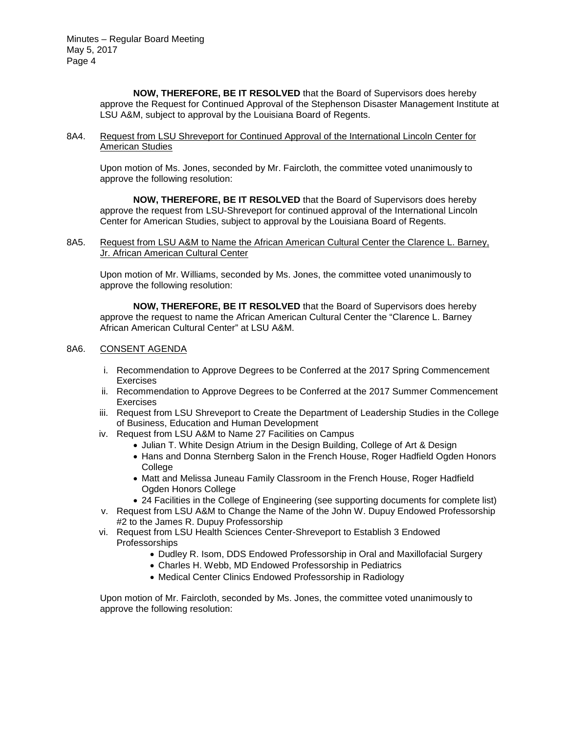> **NOW, THEREFORE, BE IT RESOLVED** that the Board of Supervisors does hereby approve the Request for Continued Approval of the Stephenson Disaster Management Institute at LSU A&M, subject to approval by the Louisiana Board of Regents.

8A4. Request from LSU Shreveport for Continued Approval of the International Lincoln Center for American Studies

Upon motion of Ms. Jones, seconded by Mr. Faircloth, the committee voted unanimously to approve the following resolution:

**NOW, THEREFORE, BE IT RESOLVED** that the Board of Supervisors does hereby approve the request from LSU-Shreveport for continued approval of the International Lincoln Center for American Studies, subject to approval by the Louisiana Board of Regents.

8A5. Request from LSU A&M to Name the African American Cultural Center the Clarence L. Barney, Jr. African American Cultural Center

Upon motion of Mr. Williams, seconded by Ms. Jones, the committee voted unanimously to approve the following resolution:

**NOW, THEREFORE, BE IT RESOLVED** that the Board of Supervisors does hereby approve the request to name the African American Cultural Center the "Clarence L. Barney African American Cultural Center" at LSU A&M.

# 8A6. CONSENT AGENDA

- i. Recommendation to Approve Degrees to be Conferred at the 2017 Spring Commencement **Exercises**
- ii. Recommendation to Approve Degrees to be Conferred at the 2017 Summer Commencement Exercises
- iii. Request from LSU Shreveport to Create the Department of Leadership Studies in the College of Business, Education and Human Development
- iv. Request from LSU A&M to Name 27 Facilities on Campus
	- Julian T. White Design Atrium in the Design Building, College of Art & Design
	- Hans and Donna Sternberg Salon in the French House, Roger Hadfield Ogden Honors College
	- Matt and Melissa Juneau Family Classroom in the French House, Roger Hadfield Ogden Honors College
	- 24 Facilities in the College of Engineering (see supporting documents for complete list)
- v. Request from LSU A&M to Change the Name of the John W. Dupuy Endowed Professorship #2 to the James R. Dupuy Professorship
- vi. Request from LSU Health Sciences Center-Shreveport to Establish 3 Endowed Professorships
	- Dudley R. Isom, DDS Endowed Professorship in Oral and Maxillofacial Surgery
	- Charles H. Webb, MD Endowed Professorship in Pediatrics
	- Medical Center Clinics Endowed Professorship in Radiology

Upon motion of Mr. Faircloth, seconded by Ms. Jones, the committee voted unanimously to approve the following resolution: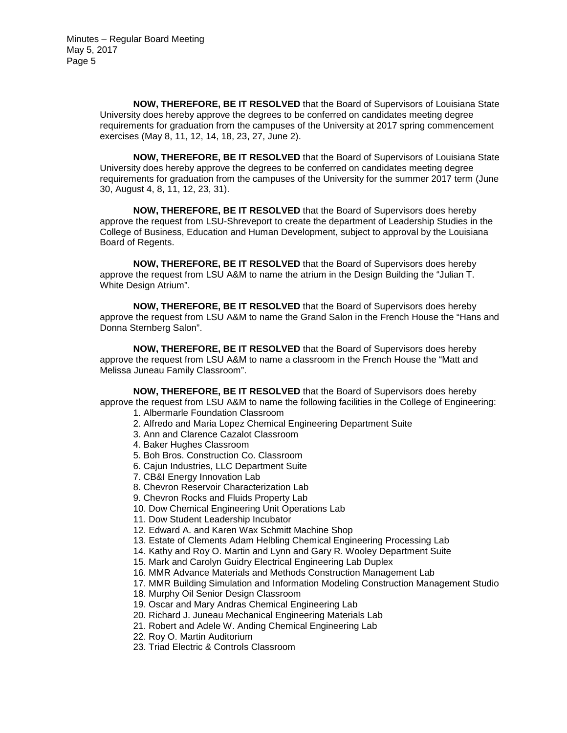**NOW, THEREFORE, BE IT RESOLVED** that the Board of Supervisors of Louisiana State University does hereby approve the degrees to be conferred on candidates meeting degree requirements for graduation from the campuses of the University at 2017 spring commencement exercises (May 8, 11, 12, 14, 18, 23, 27, June 2).

**NOW, THEREFORE, BE IT RESOLVED** that the Board of Supervisors of Louisiana State University does hereby approve the degrees to be conferred on candidates meeting degree requirements for graduation from the campuses of the University for the summer 2017 term (June 30, August 4, 8, 11, 12, 23, 31).

**NOW, THEREFORE, BE IT RESOLVED** that the Board of Supervisors does hereby approve the request from LSU-Shreveport to create the department of Leadership Studies in the College of Business, Education and Human Development, subject to approval by the Louisiana Board of Regents.

**NOW, THEREFORE, BE IT RESOLVED** that the Board of Supervisors does hereby approve the request from LSU A&M to name the atrium in the Design Building the "Julian T. White Design Atrium".

**NOW, THEREFORE, BE IT RESOLVED** that the Board of Supervisors does hereby approve the request from LSU A&M to name the Grand Salon in the French House the "Hans and Donna Sternberg Salon".

**NOW, THEREFORE, BE IT RESOLVED** that the Board of Supervisors does hereby approve the request from LSU A&M to name a classroom in the French House the "Matt and Melissa Juneau Family Classroom".

**NOW, THEREFORE, BE IT RESOLVED** that the Board of Supervisors does hereby approve the request from LSU A&M to name the following facilities in the College of Engineering:

- 1. Albermarle Foundation Classroom
- 2. Alfredo and Maria Lopez Chemical Engineering Department Suite
- 3. Ann and Clarence Cazalot Classroom
- 4. Baker Hughes Classroom
- 5. Boh Bros. Construction Co. Classroom
- 6. Cajun Industries, LLC Department Suite
- 7. CB&I Energy Innovation Lab
- 8. Chevron Reservoir Characterization Lab
- 9. Chevron Rocks and Fluids Property Lab
- 10. Dow Chemical Engineering Unit Operations Lab
- 11. Dow Student Leadership Incubator
- 12. Edward A. and Karen Wax Schmitt Machine Shop
- 13. Estate of Clements Adam Helbling Chemical Engineering Processing Lab
- 14. Kathy and Roy O. Martin and Lynn and Gary R. Wooley Department Suite
- 15. Mark and Carolyn Guidry Electrical Engineering Lab Duplex
- 16. MMR Advance Materials and Methods Construction Management Lab
- 17. MMR Building Simulation and Information Modeling Construction Management Studio
- 18. Murphy Oil Senior Design Classroom
- 19. Oscar and Mary Andras Chemical Engineering Lab
- 20. Richard J. Juneau Mechanical Engineering Materials Lab
- 21. Robert and Adele W. Anding Chemical Engineering Lab
- 22. Roy O. Martin Auditorium
- 23. Triad Electric & Controls Classroom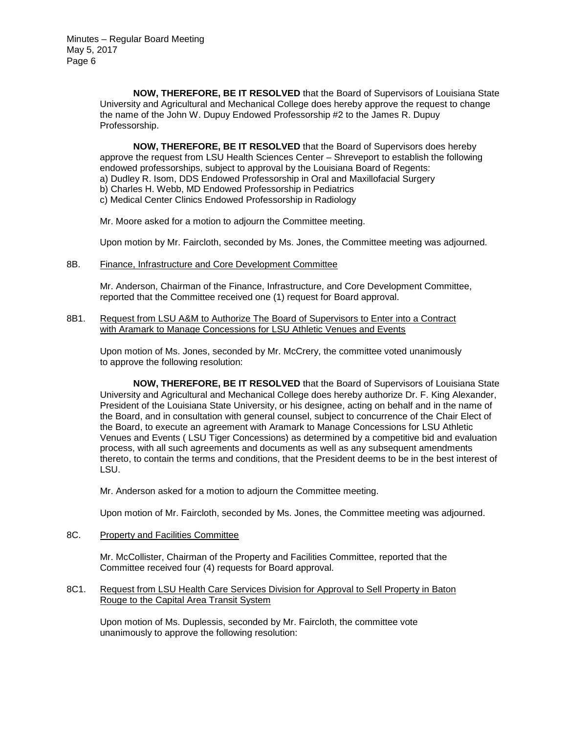> **NOW, THEREFORE, BE IT RESOLVED** that the Board of Supervisors of Louisiana State University and Agricultural and Mechanical College does hereby approve the request to change the name of the John W. Dupuy Endowed Professorship #2 to the James R. Dupuy Professorship.

**NOW, THEREFORE, BE IT RESOLVED** that the Board of Supervisors does hereby approve the request from LSU Health Sciences Center – Shreveport to establish the following endowed professorships, subject to approval by the Louisiana Board of Regents: a) Dudley R. Isom, DDS Endowed Professorship in Oral and Maxillofacial Surgery b) Charles H. Webb, MD Endowed Professorship in Pediatrics c) Medical Center Clinics Endowed Professorship in Radiology

Mr. Moore asked for a motion to adjourn the Committee meeting.

Upon motion by Mr. Faircloth, seconded by Ms. Jones, the Committee meeting was adjourned.

8B. Finance, Infrastructure and Core Development Committee

Mr. Anderson, Chairman of the Finance, Infrastructure, and Core Development Committee, reported that the Committee received one (1) request for Board approval.

8B1. Request from LSU A&M to Authorize The Board of Supervisors to Enter into a Contract with Aramark to Manage Concessions for LSU Athletic Venues and Events

Upon motion of Ms. Jones, seconded by Mr. McCrery, the committee voted unanimously to approve the following resolution:

**NOW, THEREFORE, BE IT RESOLVED** that the Board of Supervisors of Louisiana State University and Agricultural and Mechanical College does hereby authorize Dr. F. King Alexander, President of the Louisiana State University, or his designee, acting on behalf and in the name of the Board, and in consultation with general counsel, subject to concurrence of the Chair Elect of the Board, to execute an agreement with Aramark to Manage Concessions for LSU Athletic Venues and Events ( LSU Tiger Concessions) as determined by a competitive bid and evaluation process, with all such agreements and documents as well as any subsequent amendments thereto, to contain the terms and conditions, that the President deems to be in the best interest of LSU.

Mr. Anderson asked for a motion to adjourn the Committee meeting.

Upon motion of Mr. Faircloth, seconded by Ms. Jones, the Committee meeting was adjourned.

8C. Property and Facilities Committee

Mr. McCollister, Chairman of the Property and Facilities Committee, reported that the Committee received four (4) requests for Board approval.

8C1. Request from LSU Health Care Services Division for Approval to Sell Property in Baton Rouge to the Capital Area Transit System

Upon motion of Ms. Duplessis, seconded by Mr. Faircloth, the committee vote unanimously to approve the following resolution: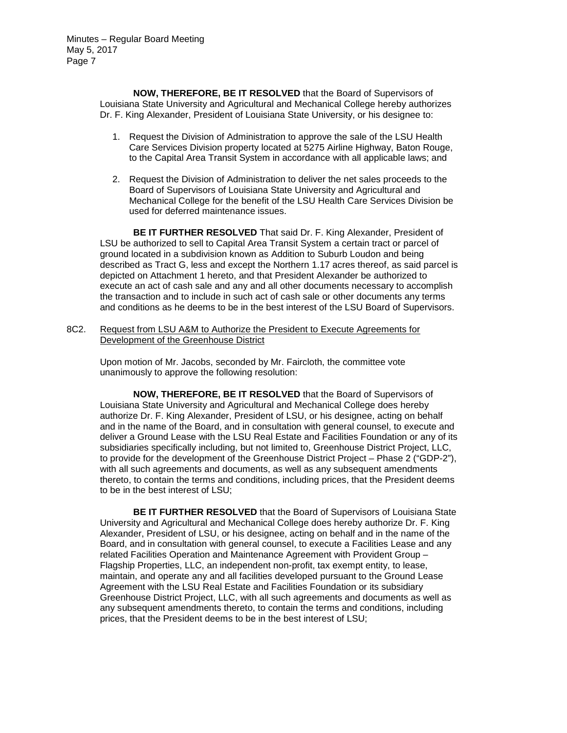**NOW, THEREFORE, BE IT RESOLVED** that the Board of Supervisors of Louisiana State University and Agricultural and Mechanical College hereby authorizes Dr. F. King Alexander, President of Louisiana State University, or his designee to:

- 1. Request the Division of Administration to approve the sale of the LSU Health Care Services Division property located at 5275 Airline Highway, Baton Rouge, to the Capital Area Transit System in accordance with all applicable laws; and
- 2. Request the Division of Administration to deliver the net sales proceeds to the Board of Supervisors of Louisiana State University and Agricultural and Mechanical College for the benefit of the LSU Health Care Services Division be used for deferred maintenance issues.

**BE IT FURTHER RESOLVED** That said Dr. F. King Alexander, President of LSU be authorized to sell to Capital Area Transit System a certain tract or parcel of ground located in a subdivision known as Addition to Suburb Loudon and being described as Tract G, less and except the Northern 1.17 acres thereof, as said parcel is depicted on Attachment 1 hereto, and that President Alexander be authorized to execute an act of cash sale and any and all other documents necessary to accomplish the transaction and to include in such act of cash sale or other documents any terms and conditions as he deems to be in the best interest of the LSU Board of Supervisors.

8C2. Request from LSU A&M to Authorize the President to Execute Agreements for Development of the Greenhouse District

Upon motion of Mr. Jacobs, seconded by Mr. Faircloth, the committee vote unanimously to approve the following resolution:

**NOW, THEREFORE, BE IT RESOLVED** that the Board of Supervisors of Louisiana State University and Agricultural and Mechanical College does hereby authorize Dr. F. King Alexander, President of LSU, or his designee, acting on behalf and in the name of the Board, and in consultation with general counsel, to execute and deliver a Ground Lease with the LSU Real Estate and Facilities Foundation or any of its subsidiaries specifically including, but not limited to, Greenhouse District Project, LLC, to provide for the development of the Greenhouse District Project – Phase 2 ("GDP-2"), with all such agreements and documents, as well as any subsequent amendments thereto, to contain the terms and conditions, including prices, that the President deems to be in the best interest of LSU;

**BE IT FURTHER RESOLVED** that the Board of Supervisors of Louisiana State University and Agricultural and Mechanical College does hereby authorize Dr. F. King Alexander, President of LSU, or his designee, acting on behalf and in the name of the Board, and in consultation with general counsel, to execute a Facilities Lease and any related Facilities Operation and Maintenance Agreement with Provident Group – Flagship Properties, LLC, an independent non-profit, tax exempt entity, to lease, maintain, and operate any and all facilities developed pursuant to the Ground Lease Agreement with the LSU Real Estate and Facilities Foundation or its subsidiary Greenhouse District Project, LLC, with all such agreements and documents as well as any subsequent amendments thereto, to contain the terms and conditions, including prices, that the President deems to be in the best interest of LSU;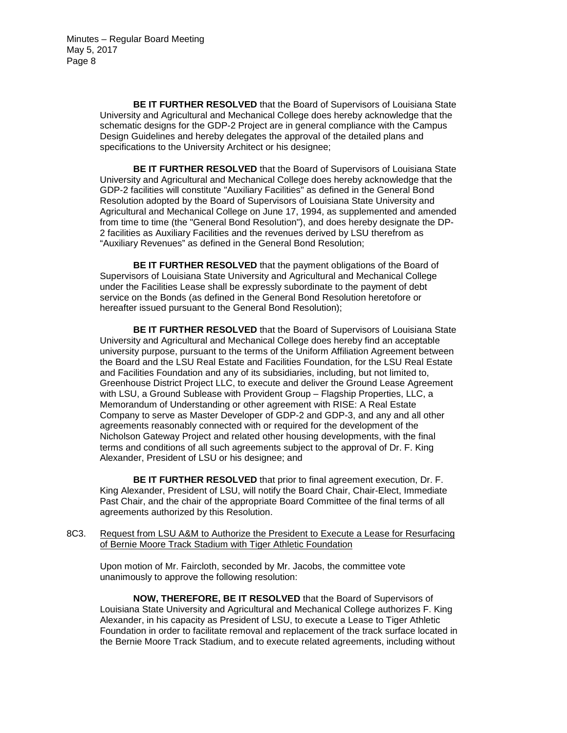> **BE IT FURTHER RESOLVED** that the Board of Supervisors of Louisiana State University and Agricultural and Mechanical College does hereby acknowledge that the schematic designs for the GDP-2 Project are in general compliance with the Campus Design Guidelines and hereby delegates the approval of the detailed plans and specifications to the University Architect or his designee;

> **BE IT FURTHER RESOLVED** that the Board of Supervisors of Louisiana State University and Agricultural and Mechanical College does hereby acknowledge that the GDP-2 facilities will constitute "Auxiliary Facilities" as defined in the General Bond Resolution adopted by the Board of Supervisors of Louisiana State University and Agricultural and Mechanical College on June 17, 1994, as supplemented and amended from time to time (the "General Bond Resolution"), and does hereby designate the DP-2 facilities as Auxiliary Facilities and the revenues derived by LSU therefrom as "Auxiliary Revenues" as defined in the General Bond Resolution;

**BE IT FURTHER RESOLVED** that the payment obligations of the Board of Supervisors of Louisiana State University and Agricultural and Mechanical College under the Facilities Lease shall be expressly subordinate to the payment of debt service on the Bonds (as defined in the General Bond Resolution heretofore or hereafter issued pursuant to the General Bond Resolution);

**BE IT FURTHER RESOLVED** that the Board of Supervisors of Louisiana State University and Agricultural and Mechanical College does hereby find an acceptable university purpose, pursuant to the terms of the Uniform Affiliation Agreement between the Board and the LSU Real Estate and Facilities Foundation, for the LSU Real Estate and Facilities Foundation and any of its subsidiaries, including, but not limited to, Greenhouse District Project LLC, to execute and deliver the Ground Lease Agreement with LSU, a Ground Sublease with Provident Group – Flagship Properties, LLC, a Memorandum of Understanding or other agreement with RISE: A Real Estate Company to serve as Master Developer of GDP-2 and GDP-3, and any and all other agreements reasonably connected with or required for the development of the Nicholson Gateway Project and related other housing developments, with the final terms and conditions of all such agreements subject to the approval of Dr. F. King Alexander, President of LSU or his designee; and

**BE IT FURTHER RESOLVED** that prior to final agreement execution, Dr. F. King Alexander, President of LSU, will notify the Board Chair, Chair-Elect, Immediate Past Chair, and the chair of the appropriate Board Committee of the final terms of all agreements authorized by this Resolution.

8C3. Request from LSU A&M to Authorize the President to Execute a Lease for Resurfacing of Bernie Moore Track Stadium with Tiger Athletic Foundation

Upon motion of Mr. Faircloth, seconded by Mr. Jacobs, the committee vote unanimously to approve the following resolution:

**NOW, THEREFORE, BE IT RESOLVED** that the Board of Supervisors of Louisiana State University and Agricultural and Mechanical College authorizes F. King Alexander, in his capacity as President of LSU, to execute a Lease to Tiger Athletic Foundation in order to facilitate removal and replacement of the track surface located in the Bernie Moore Track Stadium, and to execute related agreements, including without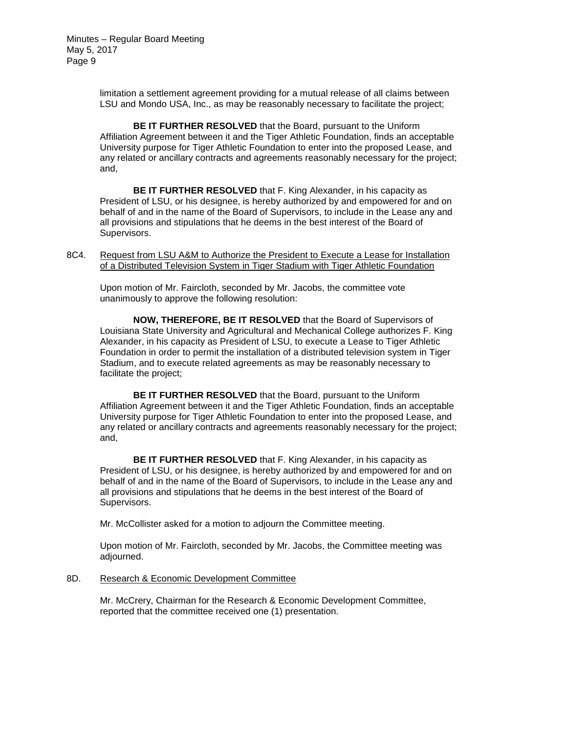> limitation a settlement agreement providing for a mutual release of all claims between LSU and Mondo USA, Inc., as may be reasonably necessary to facilitate the project;

**BE IT FURTHER RESOLVED** that the Board, pursuant to the Uniform Affiliation Agreement between it and the Tiger Athletic Foundation, finds an acceptable University purpose for Tiger Athletic Foundation to enter into the proposed Lease, and any related or ancillary contracts and agreements reasonably necessary for the project; and,

**BE IT FURTHER RESOLVED** that F. King Alexander, in his capacity as President of LSU, or his designee, is hereby authorized by and empowered for and on behalf of and in the name of the Board of Supervisors, to include in the Lease any and all provisions and stipulations that he deems in the best interest of the Board of Supervisors.

8C4. Request from LSU A&M to Authorize the President to Execute a Lease for Installation of a Distributed Television System in Tiger Stadium with Tiger Athletic Foundation

Upon motion of Mr. Faircloth, seconded by Mr. Jacobs, the committee vote unanimously to approve the following resolution:

**NOW, THEREFORE, BE IT RESOLVED** that the Board of Supervisors of Louisiana State University and Agricultural and Mechanical College authorizes F. King Alexander, in his capacity as President of LSU, to execute a Lease to Tiger Athletic Foundation in order to permit the installation of a distributed television system in Tiger Stadium, and to execute related agreements as may be reasonably necessary to facilitate the project;

**BE IT FURTHER RESOLVED** that the Board, pursuant to the Uniform Affiliation Agreement between it and the Tiger Athletic Foundation, finds an acceptable University purpose for Tiger Athletic Foundation to enter into the proposed Lease, and any related or ancillary contracts and agreements reasonably necessary for the project; and,

**BE IT FURTHER RESOLVED** that F. King Alexander, in his capacity as President of LSU, or his designee, is hereby authorized by and empowered for and on behalf of and in the name of the Board of Supervisors, to include in the Lease any and all provisions and stipulations that he deems in the best interest of the Board of Supervisors.

Mr. McCollister asked for a motion to adjourn the Committee meeting.

Upon motion of Mr. Faircloth, seconded by Mr. Jacobs, the Committee meeting was adjourned.

#### 8D. Research & Economic Development Committee

Mr. McCrery, Chairman for the Research & Economic Development Committee, reported that the committee received one (1) presentation.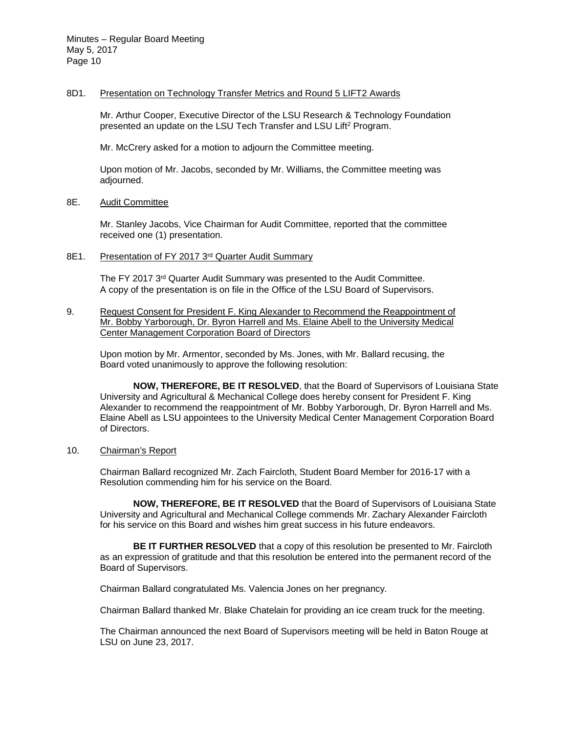### 8D1. Presentation on Technology Transfer Metrics and Round 5 LIFT2 Awards

Mr. Arthur Cooper, Executive Director of the LSU Research & Technology Foundation presented an update on the LSU Tech Transfer and LSU Lift2 Program.

Mr. McCrery asked for a motion to adjourn the Committee meeting.

Upon motion of Mr. Jacobs, seconded by Mr. Williams, the Committee meeting was adjourned.

# 8E. Audit Committee

Mr. Stanley Jacobs, Vice Chairman for Audit Committee, reported that the committee received one (1) presentation.

### 8E1. Presentation of FY 2017 3rd Quarter Audit Summary

The FY 2017 3<sup>rd</sup> Quarter Audit Summary was presented to the Audit Committee. A copy of the presentation is on file in the Office of the LSU Board of Supervisors.

9. Request Consent for President F. King Alexander to Recommend the Reappointment of Mr. Bobby Yarborough, Dr. Byron Harrell and Ms. Elaine Abell to the University Medical Center Management Corporation Board of Directors

Upon motion by Mr. Armentor, seconded by Ms. Jones, with Mr. Ballard recusing, the Board voted unanimously to approve the following resolution:

**NOW, THEREFORE, BE IT RESOLVED**, that the Board of Supervisors of Louisiana State University and Agricultural & Mechanical College does hereby consent for President F. King Alexander to recommend the reappointment of Mr. Bobby Yarborough, Dr. Byron Harrell and Ms. Elaine Abell as LSU appointees to the University Medical Center Management Corporation Board of Directors.

# 10. Chairman's Report

Chairman Ballard recognized Mr. Zach Faircloth, Student Board Member for 2016-17 with a Resolution commending him for his service on the Board.

**NOW, THEREFORE, BE IT RESOLVED** that the Board of Supervisors of Louisiana State University and Agricultural and Mechanical College commends Mr. Zachary Alexander Faircloth for his service on this Board and wishes him great success in his future endeavors.

**BE IT FURTHER RESOLVED** that a copy of this resolution be presented to Mr. Faircloth as an expression of gratitude and that this resolution be entered into the permanent record of the Board of Supervisors.

Chairman Ballard congratulated Ms. Valencia Jones on her pregnancy.

Chairman Ballard thanked Mr. Blake Chatelain for providing an ice cream truck for the meeting.

The Chairman announced the next Board of Supervisors meeting will be held in Baton Rouge at LSU on June 23, 2017.